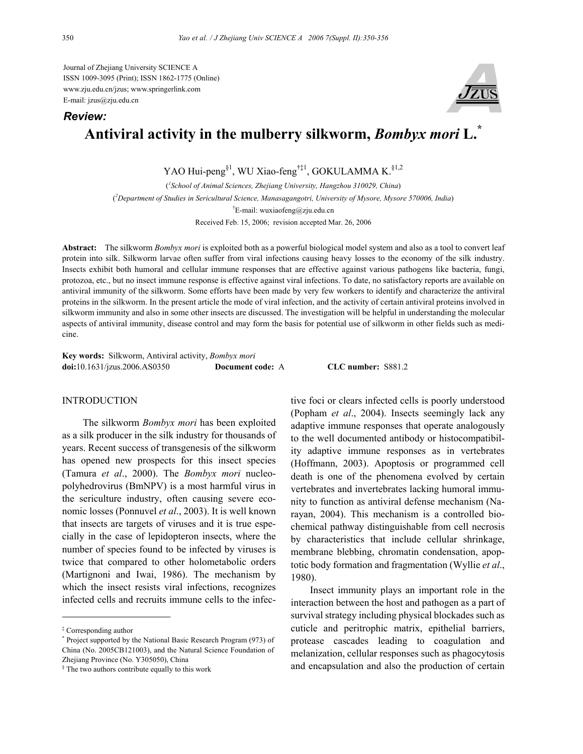Journal of Zhejiang University SCIENCE A ISSN 1009-3095 (Print); ISSN 1862-1775 (Online) www.zju.edu.cn/jzus; www.springerlink.com E-mail: jzus@zju.edu.cn



# **Antiviral activity in the mulberry silkworm,** *Bombyx mori* **L.\***

YAO Hui-peng<sup>§1</sup>, WU Xiao-feng<sup>†‡1</sup>, GOKULAMMA K.<sup>§1,2</sup>

( *1 School of Animal Sciences, Zhejiang University, Hangzhou 310029, China*) ( *2 Department of Studies in Sericultural Science, Manasagangotri, University of Mysore, Mysore 570006, India*) † E-mail: wuxiaofeng@zju.edu.cn Received Feb. 15, 2006; revision accepted Mar. 26, 2006

**Abstract:** The silkworm *Bombyx mori* is exploited both as a powerful biological model system and also as a tool to convert leaf protein into silk. Silkworm larvae often suffer from viral infections causing heavy losses to the economy of the silk industry. Insects exhibit both humoral and cellular immune responses that are effective against various pathogens like bacteria, fungi, protozoa, etc., but no insect immune response is effective against viral infections. To date, no satisfactory reports are available on antiviral immunity of the silkworm. Some efforts have been made by very few workers to identify and characterize the antiviral proteins in the silkworm. In the present article the mode of viral infection, and the activity of certain antiviral proteins involved in silkworm immunity and also in some other insects are discussed. The investigation will be helpful in understanding the molecular aspects of antiviral immunity, disease control and may form the basis for potential use of silkworm in other fields such as medicine.

**Key words:** Silkworm, Antiviral activity, *Bombyx mori* **doi:**10.1631/jzus.2006.AS0350 **Document code:** A **CLC number:** S881.2

## **INTRODUCTION**

The silkworm *Bombyx mori* has been exploited as a silk producer in the silk industry for thousands of years. Recent success of transgenesis of the silkworm has opened new prospects for this insect species (Tamura *et al*., 2000). The *Bombyx mori* nucleopolyhedrovirus (BmNPV) is a most harmful virus in the sericulture industry, often causing severe economic losses (Ponnuvel *et al*., 2003). It is well known that insects are targets of viruses and it is true especially in the case of lepidopteron insects, where the number of species found to be infected by viruses is twice that compared to other holometabolic orders (Martignoni and Iwai, 1986). The mechanism by which the insect resists viral infections, recognizes infected cells and recruits immune cells to the infective foci or clears infected cells is poorly understood (Popham *et al*., 2004). Insects seemingly lack any adaptive immune responses that operate analogously to the well documented antibody or histocompatibility adaptive immune responses as in vertebrates (Hoffmann, 2003). Apoptosis or programmed cell death is one of the phenomena evolved by certain vertebrates and invertebrates lacking humoral immunity to function as antiviral defense mechanism (Narayan, 2004). This mechanism is a controlled biochemical pathway distinguishable from cell necrosis by characteristics that include cellular shrinkage, membrane blebbing, chromatin condensation, apoptotic body formation and fragmentation (Wyllie *et al*., 1980).

Insect immunity plays an important role in the interaction between the host and pathogen as a part of survival strategy including physical blockades such as cuticle and peritrophic matrix, epithelial barriers, protease cascades leading to coagulation and melanization, cellular responses such as phagocytosis and encapsulation and also the production of certain

*Review:*

<sup>‡</sup> Corresponding author

<sup>\*</sup> Project supported by the National Basic Research Program (973) of China (No. 2005CB121003), and the Natural Science Foundation of Zhejiang Province (No. Y305050), China

<sup>§</sup> The two authors contribute equally to this work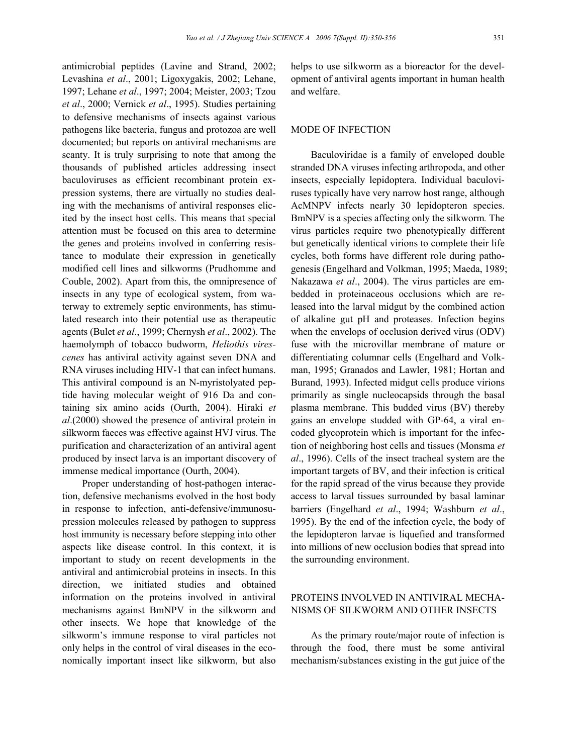antimicrobial peptides (Lavine and Strand, 2002; Levashina *et al*., 2001; Ligoxygakis, 2002; Lehane, 1997; Lehane *et al*., 1997; 2004; Meister, 2003; Tzou *et al*., 2000; Vernick *et al*., 1995). Studies pertaining to defensive mechanisms of insects against various pathogens like bacteria, fungus and protozoa are well documented; but reports on antiviral mechanisms are scanty. It is truly surprising to note that among the thousands of published articles addressing insect baculoviruses as efficient recombinant protein expression systems, there are virtually no studies dealing with the mechanisms of antiviral responses elicited by the insect host cells. This means that special attention must be focused on this area to determine the genes and proteins involved in conferring resistance to modulate their expression in genetically modified cell lines and silkworms (Prudhomme and Couble, 2002). Apart from this, the omnipresence of insects in any type of ecological system, from waterway to extremely septic environments, has stimulated research into their potential use as therapeutic agents (Bulet *et al*., 1999; Chernysh *et al*., 2002). The haemolymph of tobacco budworm, *Heliothis virescenes* has antiviral activity against seven DNA and RNA viruses including HIV-1 that can infect humans. This antiviral compound is an N-myristolyated peptide having molecular weight of 916 Da and containing six amino acids (Ourth, 2004). Hiraki *et al*.(2000) showed the presence of antiviral protein in silkworm faeces was effective against HVJ virus. The purification and characterization of an antiviral agent produced by insect larva is an important discovery of immense medical importance (Ourth, 2004).

Proper understanding of host-pathogen interaction, defensive mechanisms evolved in the host body in response to infection, anti-defensive/immunosupression molecules released by pathogen to suppress host immunity is necessary before stepping into other aspects like disease control. In this context, it is important to study on recent developments in the antiviral and antimicrobial proteins in insects. In this direction, we initiated studies and obtained information on the proteins involved in antiviral mechanisms against BmNPV in the silkworm and other insects. We hope that knowledge of the silkworm's immune response to viral particles not only helps in the control of viral diseases in the economically important insect like silkworm, but also helps to use silkworm as a bioreactor for the development of antiviral agents important in human health and welfare.

## MODE OF INFECTION

Baculoviridae is a family of enveloped double stranded DNA viruses infecting arthropoda, and other insects, especially lepidoptera. Individual baculoviruses typically have very narrow host range, although AcMNPV infects nearly 30 lepidopteron species. BmNPV is a species affecting only the silkworm*.* The virus particles require two phenotypically different but genetically identical virions to complete their life cycles, both forms have different role during pathogenesis (Engelhard and Volkman, 1995; Maeda, 1989; Nakazawa *et al*., 2004). The virus particles are embedded in proteinaceous occlusions which are released into the larval midgut by the combined action of alkaline gut pH and proteases. Infection begins when the envelops of occlusion derived virus (ODV) fuse with the microvillar membrane of mature or differentiating columnar cells (Engelhard and Volkman, 1995; Granados and Lawler, 1981; Hortan and Burand, 1993). Infected midgut cells produce virions primarily as single nucleocapsids through the basal plasma membrane. This budded virus (BV) thereby gains an envelope studded with GP-64, a viral encoded glycoprotein which is important for the infection of neighboring host cells and tissues (Monsma *et al*., 1996). Cells of the insect tracheal system are the important targets of BV, and their infection is critical for the rapid spread of the virus because they provide access to larval tissues surrounded by basal laminar barriers (Engelhard *et al*., 1994; Washburn *et al*., 1995). By the end of the infection cycle, the body of the lepidopteron larvae is liquefied and transformed into millions of new occlusion bodies that spread into the surrounding environment.

## PROTEINS INVOLVED IN ANTIVIRAL MECHA-NISMS OF SILKWORM AND OTHER INSECTS

As the primary route/major route of infection is through the food, there must be some antiviral mechanism/substances existing in the gut juice of the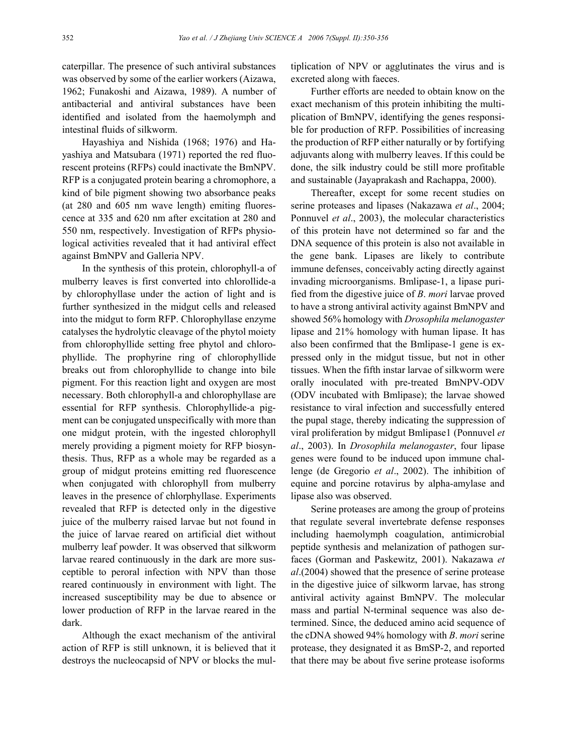caterpillar. The presence of such antiviral substances was observed by some of the earlier workers (Aizawa, 1962; Funakoshi and Aizawa, 1989). A number of antibacterial and antiviral substances have been identified and isolated from the haemolymph and intestinal fluids of silkworm.

Hayashiya and Nishida (1968; 1976) and Hayashiya and Matsubara (1971) reported the red fluorescent proteins (RFPs) could inactivate the BmNPV. RFP is a conjugated protein bearing a chromophore, a kind of bile pigment showing two absorbance peaks (at 280 and 605 nm wave length) emiting fluorescence at 335 and 620 nm after excitation at 280 and 550 nm, respectively. Investigation of RFPs physiological activities revealed that it had antiviral effect against BmNPV and Galleria NPV.

In the synthesis of this protein, chlorophyll-a of mulberry leaves is first converted into chlorollide-a by chlorophyllase under the action of light and is further synthesized in the midgut cells and released into the midgut to form RFP. Chlorophyllase enzyme catalyses the hydrolytic cleavage of the phytol moiety from chlorophyllide setting free phytol and chlorophyllide. The prophyrine ring of chlorophyllide breaks out from chlorophyllide to change into bile pigment. For this reaction light and oxygen are most necessary. Both chlorophyll-a and chlorophyllase are essential for RFP synthesis. Chlorophyllide-a pigment can be conjugated unspecifically with more than one midgut protein, with the ingested chlorophyll merely providing a pigment moiety for RFP biosynthesis. Thus, RFP as a whole may be regarded as a group of midgut proteins emitting red fluorescence when conjugated with chlorophyll from mulberry leaves in the presence of chlorphyllase. Experiments revealed that RFP is detected only in the digestive juice of the mulberry raised larvae but not found in the juice of larvae reared on artificial diet without mulberry leaf powder. It was observed that silkworm larvae reared continuously in the dark are more susceptible to peroral infection with NPV than those reared continuously in environment with light. The increased susceptibility may be due to absence or lower production of RFP in the larvae reared in the dark.

Although the exact mechanism of the antiviral action of RFP is still unknown, it is believed that it destroys the nucleocapsid of NPV or blocks the multiplication of NPV or agglutinates the virus and is excreted along with faeces.

Further efforts are needed to obtain know on the exact mechanism of this protein inhibiting the multiplication of BmNPV, identifying the genes responsible for production of RFP. Possibilities of increasing the production of RFP either naturally or by fortifying adjuvants along with mulberry leaves. If this could be done, the silk industry could be still more profitable and sustainable (Jayaprakash and Rachappa, 2000).

Thereafter, except for some recent studies on serine proteases and lipases (Nakazawa *et al*., 2004; Ponnuvel *et al*., 2003), the molecular characteristics of this protein have not determined so far and the DNA sequence of this protein is also not available in the gene bank. Lipases are likely to contribute immune defenses, conceivably acting directly against invading microorganisms. Bmlipase-1, a lipase purified from the digestive juice of *B*. *mori* larvae proved to have a strong antiviral activity against BmNPV and showed 56% homology with *Drosophila melanogaster* lipase and 21% homology with human lipase. It has also been confirmed that the Bmlipase-1 gene is expressed only in the midgut tissue, but not in other tissues. When the fifth instar larvae of silkworm were orally inoculated with pre-treated BmNPV-ODV (ODV incubated with Bmlipase); the larvae showed resistance to viral infection and successfully entered the pupal stage, thereby indicating the suppression of viral proliferation by midgut Bmlipase1 (Ponnuvel *et al*., 2003). In *Drosophila melanogaster*, four lipase genes were found to be induced upon immune challenge (de Gregorio *et al*., 2002). The inhibition of equine and porcine rotavirus by alpha-amylase and lipase also was observed.

Serine proteases are among the group of proteins that regulate several invertebrate defense responses including haemolymph coagulation, antimicrobial peptide synthesis and melanization of pathogen surfaces (Gorman and Paskewitz, 2001). Nakazawa *et al*.(2004) showed that the presence of serine protease in the digestive juice of silkworm larvae, has strong antiviral activity against BmNPV. The molecular mass and partial N-terminal sequence was also determined. Since, the deduced amino acid sequence of the cDNA showed 94% homology with *B*. *mori* serine protease, they designated it as BmSP-2, and reported that there may be about five serine protease isoforms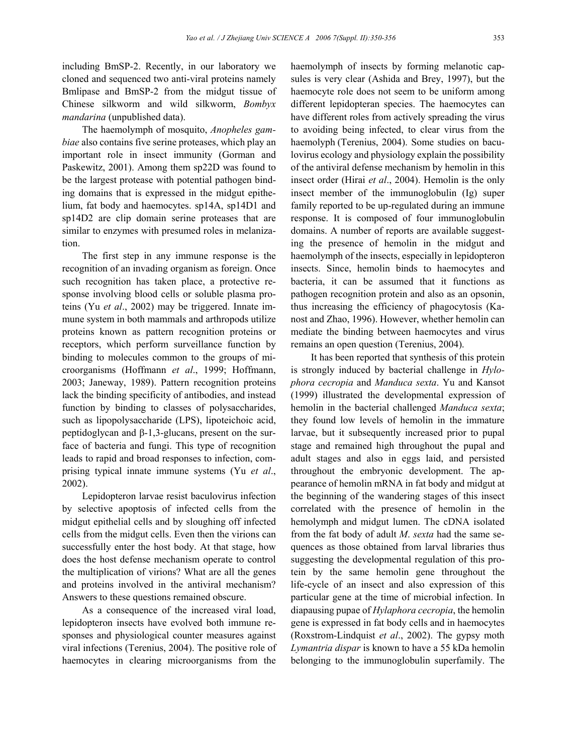including BmSP-2. Recently, in our laboratory we cloned and sequenced two anti-viral proteins namely Bmlipase and BmSP-2 from the midgut tissue of Chinese silkworm and wild silkworm, *Bombyx mandarina* (unpublished data).

The haemolymph of mosquito, *Anopheles gambiae* also contains five serine proteases, which play an important role in insect immunity (Gorman and Paskewitz, 2001). Among them sp22D was found to be the largest protease with potential pathogen binding domains that is expressed in the midgut epithelium, fat body and haemocytes. sp14A, sp14D1 and sp14D2 are clip domain serine proteases that are similar to enzymes with presumed roles in melanization.

The first step in any immune response is the recognition of an invading organism as foreign. Once such recognition has taken place, a protective response involving blood cells or soluble plasma proteins (Yu *et al*., 2002) may be triggered. Innate immune system in both mammals and arthropods utilize proteins known as pattern recognition proteins or receptors, which perform surveillance function by binding to molecules common to the groups of microorganisms (Hoffmann *et al*., 1999; Hoffmann, 2003; Janeway, 1989). Pattern recognition proteins lack the binding specificity of antibodies, and instead function by binding to classes of polysaccharides, such as lipopolysaccharide (LPS), lipoteichoic acid, peptidoglycan and β-1,3-glucans, present on the surface of bacteria and fungi. This type of recognition leads to rapid and broad responses to infection, comprising typical innate immune systems (Yu *et al*., 2002).

Lepidopteron larvae resist baculovirus infection by selective apoptosis of infected cells from the midgut epithelial cells and by sloughing off infected cells from the midgut cells. Even then the virions can successfully enter the host body. At that stage, how does the host defense mechanism operate to control the multiplication of virions? What are all the genes and proteins involved in the antiviral mechanism? Answers to these questions remained obscure.

As a consequence of the increased viral load, lepidopteron insects have evolved both immune responses and physiological counter measures against viral infections (Terenius, 2004). The positive role of haemocytes in clearing microorganisms from the

haemolymph of insects by forming melanotic capsules is very clear (Ashida and Brey, 1997), but the haemocyte role does not seem to be uniform among different lepidopteran species. The haemocytes can have different roles from actively spreading the virus to avoiding being infected, to clear virus from the haemolyph (Terenius, 2004). Some studies on baculovirus ecology and physiology explain the possibility of the antiviral defense mechanism by hemolin in this insect order (Hirai *et al*., 2004). Hemolin is the only insect member of the immunoglobulin (Ig) super family reported to be up-regulated during an immune response. It is composed of four immunoglobulin domains. A number of reports are available suggesting the presence of hemolin in the midgut and haemolymph of the insects, especially in lepidopteron insects. Since, hemolin binds to haemocytes and bacteria, it can be assumed that it functions as pathogen recognition protein and also as an opsonin, thus increasing the efficiency of phagocytosis (Kanost and Zhao, 1996). However, whether hemolin can mediate the binding between haemocytes and virus remains an open question (Terenius, 2004).

It has been reported that synthesis of this protein is strongly induced by bacterial challenge in *Hylophora cecropia* and *Manduca sexta*. Yu and Kansot (1999) illustrated the developmental expression of hemolin in the bacterial challenged *Manduca sexta*; they found low levels of hemolin in the immature larvae, but it subsequently increased prior to pupal stage and remained high throughout the pupal and adult stages and also in eggs laid, and persisted throughout the embryonic development. The appearance of hemolin mRNA in fat body and midgut at the beginning of the wandering stages of this insect correlated with the presence of hemolin in the hemolymph and midgut lumen. The cDNA isolated from the fat body of adult *M*. *sexta* had the same sequences as those obtained from larval libraries thus suggesting the developmental regulation of this protein by the same hemolin gene throughout the life-cycle of an insect and also expression of this particular gene at the time of microbial infection. In diapausing pupae of *Hylaphora cecropia*, the hemolin gene is expressed in fat body cells and in haemocytes (Roxstrom-Lindquist *et al*., 2002). The gypsy moth *Lymantria dispar* is known to have a 55 kDa hemolin belonging to the immunoglobulin superfamily. The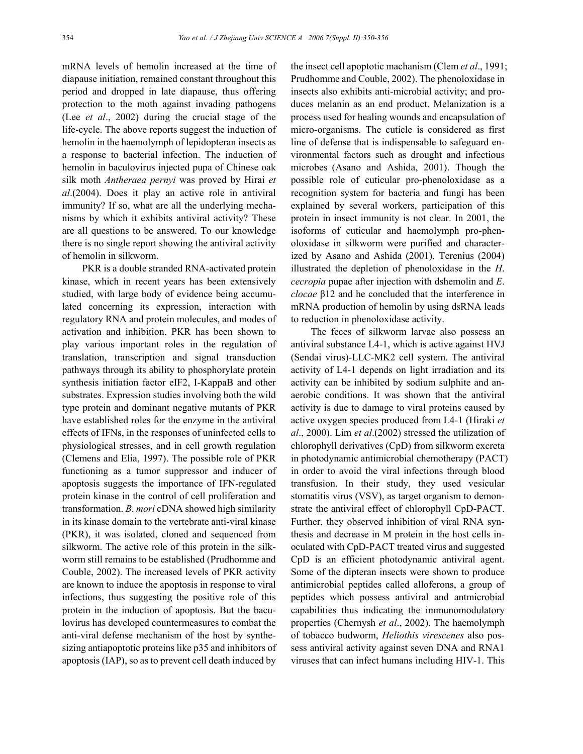mRNA levels of hemolin increased at the time of diapause initiation, remained constant throughout this period and dropped in late diapause, thus offering protection to the moth against invading pathogens (Lee *et al*., 2002) during the crucial stage of the life-cycle. The above reports suggest the induction of hemolin in the haemolymph of lepidopteran insects as a response to bacterial infection. The induction of hemolin in baculovirus injected pupa of Chinese oak silk moth *Antheraea pernyi* was proved by Hirai *et al*.(2004). Does it play an active role in antiviral immunity? If so, what are all the underlying mechanisms by which it exhibits antiviral activity? These are all questions to be answered. To our knowledge there is no single report showing the antiviral activity of hemolin in silkworm.

PKR is a double stranded RNA-activated protein kinase, which in recent years has been extensively studied, with large body of evidence being accumulated concerning its expression, interaction with regulatory RNA and protein molecules, and modes of activation and inhibition. PKR has been shown to play various important roles in the regulation of translation, transcription and signal transduction pathways through its ability to phosphorylate protein synthesis initiation factor eIF2, I-KappaB and other substrates. Expression studies involving both the wild type protein and dominant negative mutants of PKR have established roles for the enzyme in the antiviral effects of IFNs, in the responses of uninfected cells to physiological stresses, and in cell growth regulation (Clemens and Elia, 1997). The possible role of PKR functioning as a tumor suppressor and inducer of apoptosis suggests the importance of IFN-regulated protein kinase in the control of cell proliferation and transformation. *B*. *mori* cDNA showed high similarity in its kinase domain to the vertebrate anti-viral kinase (PKR), it was isolated, cloned and sequenced from silkworm. The active role of this protein in the silkworm still remains to be established (Prudhomme and Couble, 2002). The increased levels of PKR activity are known to induce the apoptosis in response to viral infections, thus suggesting the positive role of this protein in the induction of apoptosis. But the baculovirus has developed countermeasures to combat the anti-viral defense mechanism of the host by synthesizing antiapoptotic proteins like p35 and inhibitors of apoptosis (IAP), so as to prevent cell death induced by the insect cell apoptotic machanism (Clem *et al*., 1991; Prudhomme and Couble, 2002). The phenoloxidase in insects also exhibits anti-microbial activity; and produces melanin as an end product. Melanization is a process used for healing wounds and encapsulation of micro-organisms. The cuticle is considered as first line of defense that is indispensable to safeguard environmental factors such as drought and infectious microbes (Asano and Ashida, 2001). Though the possible role of cuticular pro-phenoloxidase as a recognition system for bacteria and fungi has been explained by several workers, participation of this protein in insect immunity is not clear. In 2001, the isoforms of cuticular and haemolymph pro-phenoloxidase in silkworm were purified and characterized by Asano and Ashida (2001). Terenius (2004) illustrated the depletion of phenoloxidase in the *H*. *cecropia* pupae after injection with dshemolin and *E*. *clocae* β12 and he concluded that the interference in mRNA production of hemolin by using dsRNA leads to reduction in phenoloxidase activity.

The feces of silkworm larvae also possess an antiviral substance L4-1, which is active against HVJ (Sendai virus)-LLC-MK2 cell system. The antiviral activity of L4-1 depends on light irradiation and its activity can be inhibited by sodium sulphite and anaerobic conditions. It was shown that the antiviral activity is due to damage to viral proteins caused by active oxygen species produced from L4-1 (Hiraki *et al*., 2000). Lim *et al*.(2002) stressed the utilization of chlorophyll derivatives (CpD) from silkworm excreta in photodynamic antimicrobial chemotherapy (PACT) in order to avoid the viral infections through blood transfusion. In their study, they used vesicular stomatitis virus (VSV), as target organism to demonstrate the antiviral effect of chlorophyll CpD-PACT. Further, they observed inhibition of viral RNA synthesis and decrease in M protein in the host cells inoculated with CpD-PACT treated virus and suggested CpD is an efficient photodynamic antiviral agent. Some of the dipteran insects were shown to produce antimicrobial peptides called alloferons, a group of peptides which possess antiviral and antmicrobial capabilities thus indicating the immunomodulatory properties (Chernysh *et al*., 2002). The haemolymph of tobacco budworm, *Heliothis virescenes* also possess antiviral activity against seven DNA and RNA1 viruses that can infect humans including HIV-1. This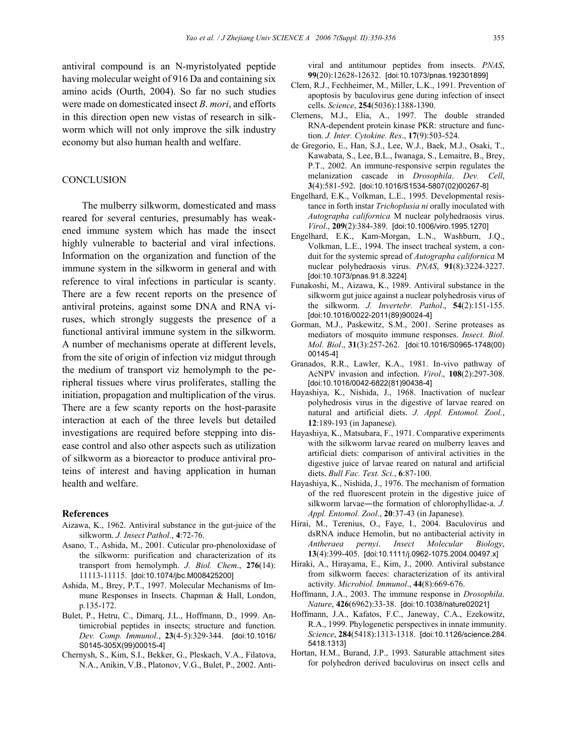antiviral compound is an N-myristolyated peptide having molecular weight of 916 Da and containing six amino acids (Ourth, 2004). So far no such studies were made on domesticated insect *B*. *mori*, and efforts in this direction open new vistas of research in silkworm which will not only improve the silk industry economy but also human health and welfare.

### **CONCLUSION**

The mulberry silkworm, domesticated and mass reared for several centuries, presumably has weakened immune system which has made the insect highly vulnerable to bacterial and viral infections. Information on the organization and function of the immune system in the silkworm in general and with reference to viral infections in particular is scanty. There are a few recent reports on the presence of antiviral proteins, against some DNA and RNA viruses, which strongly suggests the presence of a functional antiviral immune system in the silkworm. A number of mechanisms operate at different levels, from the site of origin of infection viz midgut through the medium of transport viz hemolymph to the peripheral tissues where virus proliferates, stalling the initiation, propagation and multiplication of the virus. There are a few scanty reports on the host-parasite interaction at each of the three levels but detailed investigations are required before stepping into disease control and also other aspects such as utilization of silkworm as a bioreactor to produce antiviral proteins of interest and having application in human health and welfare.

#### **References**

- Aizawa, K., 1962. Antiviral substance in the gut-juice of the silkworm. *J. Insect Pathol.*, **4**:72-76.
- Asano, T., Ashida, M., 2001. Cuticular pro-phenoloxidase of the silkworm: purification and characterization of its transport from hemolymph. *J. Biol. Chem*., **276**(14): 11113-11115. [doi:10.1074/jbc.M008425200]
- Ashida, M., Brey, P.T., 1997. Molecular Mechanisms of Immune Responses in Insects. Chapman & Hall, London, p.135-172.
- Bulet, P., Hetru, C., Dimarq, J.L., Hoffmann, D., 1999. Antimicrobial peptides in insects; structure and function. *Dev. Comp. Immunol*., **23**(4-5):329-344. [doi:10.1016/ S0145-305X(99)00015-4]
- Chernysh, S., Kim, S.I., Bekker, G., Pleskach, V.A., Filatova, N.A., Anikin, V.B., Platonov, V.G., Bulet, P., 2002. Anti-

viral and antitumour peptides from insects. *PNAS*, **99**(20):12628-12632. [doi:10.1073/pnas.192301899]

- Clem, R.J., Fechheimer, M., Miller, L.K., 1991. Prevention of apoptosis by baculovirus gene during infection of insect cells. *Science*, **254**(5036):1388-1390.
- Clemens, M.J., Elia, A., 1997. The double stranded RNA-dependent protein kinase PKR: structure and function. *J. Inter. Cytokine. Res*., **17**(9):503-524.
- de Gregorio, E., Han, S.J., Lee, W.J., Baek, M.J., Osaki, T., Kawabata, S., Lee, B.L., Iwanaga, S., Lemaitre, B., Brey, P.T., 2002. An immune-responsive serpin regulates the melanization cascade in *Drosophila*. *Dev. Cell*, **3**(4):581-592. [doi:10.1016/S1534-5807(02)00267-8]
- Engelhard, E.K., Volkman, L.E., 1995. Developmental resistance in forth instar *Trichoplusia ni* orally inoculated with *Autographa californica* M nuclear polyhedraosis virus. *Virol*., **209**(2):384-389. [doi:10.1006/viro.1995.1270]
- Engelhard, E.K., Kam-Morgan, L.N., Washburn, J.Q., Volkman, L.E., 1994. The insect tracheal system, a conduit for the systemic spread of *Autographa californica* M nuclear polyhedraosis virus. *PNAS*, **91**(8):3224-3227. [doi:10.1073/pnas.91.8.3224]
- Funakoshi, M., Aizawa, K., 1989. Antiviral substance in the silkworm gut juice against a nuclear polyhedrosis virus of the silkworm. *J. Invertebr. Pathol*., **54**(2):151-155. [doi:10.1016/0022-2011(89)90024-4]
- Gorman, M.J., Paskewitz, S.M., 2001. Serine proteases as mediators of mosquito immune responses. *Insect. Biol. Mol. Biol*., **31**(3):257-262. [doi:10.1016/S0965-1748(00) 00145-4]
- Granados, R.R., Lawler, K.A., 1981. In-vivo pathway of AcNPV invasion and infection. *Virol*., **108**(2):297-308. [doi:10.1016/0042-6822(81)90438-4]
- Hayashiya, K., Nishida, J., 1968. Inactivation of nuclear polyhedrosis virus in the digestive of larvae reared on natural and artificial diets. *J. Appl. Entomol. Zool.*, **12**:189-193 (in Japanese).
- Hayashiya, K., Matsubara, F., 1971. Comparative experiments with the silkworm larvae reared on mulberry leaves and artificial diets: comparison of antiviral activities in the digestive juice of larvae reared on natural and artificial diets. *Bull Fac. Text. Sci.*, **6**:87-100.
- Hayashiya, K., Nishida, J., 1976. The mechanism of formation of the red fluorescent protein in the digestive juice of silkworm larvae―the formation of chlorophyllidae-a. *J. Appl. Entomol. Zool*., **20**:37-43 (in Japanese).
- Hirai, M., Terenius, O., Faye, I., 2004. Baculovirus and dsRNA induce Hemolin, but no antibacterial activity in *Antheraea pernyi*. *Insect Molecular Biology*, **13**(4):399-405. [doi:10.1111/j.0962-1075.2004.00497.x]
- Hiraki, A., Hirayama, E., Kim, J., 2000. Antiviral substance from silkworm faeces: characterization of its antiviral activity. *Microbiol. Immunol*., **44**(8):669-676.
- Hoffmann, J.A., 2003. The immune response in *Drosophila*. *Nature*, **426**(6962):33-38. [doi:10.1038/nature02021]
- Hoffmann, J.A., Kafatos, F.C., Janeway, C.A., Ezekowitz, R.A., 1999. Phylogenetic perspectives in innate immunity. *Science*, **284**(5418):1313-1318. [doi:10.1126/science.284. 5418.1313]
- Hortan, H.M., Burand, J.P., 1993. Saturable attachment sites for polyhedron derived baculovirus on insect cells and